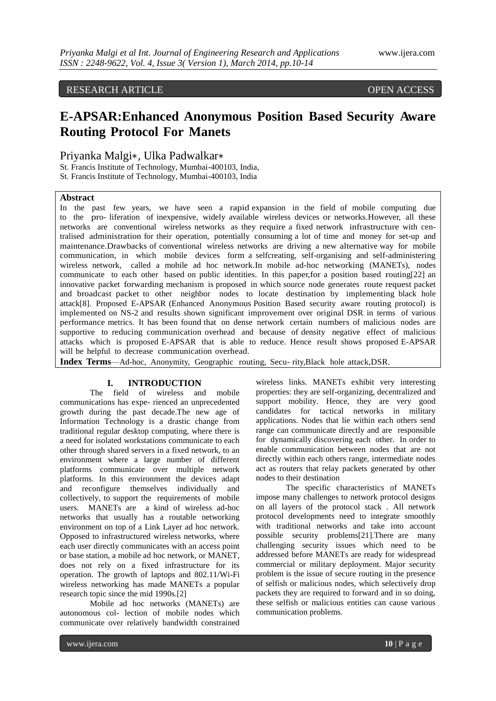# RESEARCH ARTICLE OPEN ACCESS

# **E-APSAR:Enhanced Anonymous Position Based Security Aware Routing Protocol For Manets**

Priyanka Malgi∗, Ulka Padwalkar∗

St. Francis Institute of Technology, Mumbai-400103, India, St. Francis Institute of Technology, Mumbai-400103, India

### **Abstract**

In the past few years, we have seen a rapid expansion in the field of mobile computing due to the pro- liferation of inexpensive, widely available wireless devices or networks.However, all these networks are conventional wireless networks as they require a fixed network infrastructure with centralised administration for their operation, potentially consuming a lot of time and money for set-up and maintenance.Drawbacks of conventional wireless networks are driving a new alternative way for mobile communication, in which mobile devices form a selfcreating, self-organising and self-administering wireless network, called a mobile ad hoc network.In mobile ad-hoc networking (MANETs), nodes communicate to each other based on public identities. In this paper,for a position based routing[22] an innovative packet forwarding mechanism is proposed in which source node generates route request packet and broadcast packet to other neighbor nodes to locate destination by implementing black hole attack[8]. Proposed E-APSAR (Enhanced Anonymous Position Based security aware routing protocol) is implemented on NS-2 and results shown significant improvement over original DSR in terms of various performance metrics. It has been found that on dense network certain numbers of malicious nodes are supportive to reducing communication overhead and because of density negative effect of malicious attacks which is proposed E-APSAR that is able to reduce. Hence result shows proposed E-APSAR will be helpful to decrease communication overhead.

**Index Terms**—Ad-hoc, Anonymity, Geographic routing, Secu- rity,Black hole attack,DSR.

#### **I. INTRODUCTION**

The field of wireless and mobile communications has expe- rienced an unprecedented growth during the past decade.The new age of Information Technology is a drastic change from traditional regular desktop computing, where there is a need for isolated workstations communicate to each other through shared servers in a fixed network, to an environment where a large number of different platforms communicate over multiple network platforms. In this environment the devices adapt and reconfigure themselves individually and collectively, to support the requirements of mobile users. MANETs are a kind of wireless ad-hoc networks that usually has a routable networking environment on top of a Link Layer ad hoc network. Opposed to infrastructured wireless networks, where each user directly communicates with an access point or base station, a mobile ad hoc network, or MANET, does not rely on a fixed infrastructure for its operation. The growth of laptops and 802.11/Wi-Fi wireless networking has made MANETs a popular research topic since the mid 1990s.[2]

Mobile ad hoc networks (MANETs) are autonomous col- lection of mobile nodes which communicate over relatively bandwidth constrained

wireless links. MANETs exhibit very interesting properties: they are self-organizing, decentralized and support mobility. Hence, they are very good candidates for tactical networks in military applications. Nodes that lie within each others send range can communicate directly and are responsible for dynamically discovering each other. In order to enable communication between nodes that are not directly within each others range, intermediate nodes act as routers that relay packets generated by other nodes to their destination

The specific characteristics of MANETs impose many challenges to network protocol designs on all layers of the protocol stack . All network protocol developments need to integrate smoothly with traditional networks and take into account possible security problems[21].There are many challenging security issues which need to be addressed before MANETs are ready for widespread commercial or military deployment. Major security problem is the issue of secure routing in the presence of selfish or malicious nodes, which selectively drop packets they are required to forward and in so doing, these selfish or malicious entities can cause various communication problems.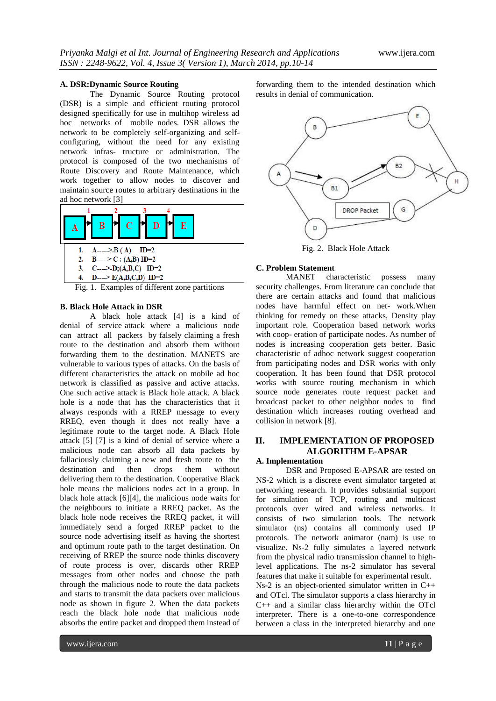#### **A. DSR:Dynamic Source Routing**

The Dynamic Source Routing protocol (DSR) is a simple and efficient routing protocol designed specifically for use in multihop wireless ad hoc networks of mobile nodes. DSR allows the network to be completely self-organizing and selfconfiguring, without the need for any existing network infras- tructure or administration. The protocol is composed of the two mechanisms of Route Discovery and Route Maintenance, which work together to allow nodes to discover and maintain source routes to arbitrary destinations in the ad hoc network [3]



Fig. 1. Examples of different zone partitions

### **B. Black Hole Attack in DSR**

A black hole attack [4] is a kind of denial of service attack where a malicious node can attract all packets by falsely claiming a fresh route to the destination and absorb them without forwarding them to the destination. MANETS are vulnerable to various types of attacks. On the basis of different characteristics the attack on mobile ad hoc network is classified as passive and active attacks. One such active attack is Black hole attack. A black hole is a node that has the characteristics that it always responds with a RREP message to every RREQ, even though it does not really have a legitimate route to the target node. A Black Hole attack [5] [7] is a kind of denial of service where a malicious node can absorb all data packets by fallaciously claiming a new and fresh route to the destination and then drops them without delivering them to the destination. Cooperative Black hole means the malicious nodes act in a group. In black hole attack [6][4], the malicious node waits for the neighbours to initiate a RREQ packet. As the black hole node receives the RREQ packet, it will immediately send a forged RREP packet to the source node advertising itself as having the shortest and optimum route path to the target destination. On receiving of RREP the source node thinks discovery of route process is over, discards other RREP messages from other nodes and choose the path through the malicious node to route the data packets and starts to transmit the data packets over malicious node as shown in figure 2. When the data packets reach the black hole node that malicious node absorbs the entire packet and dropped them instead of

forwarding them to the intended destination which results in denial of communication.



Fig. 2. Black Hole Attack

### **C. Problem Statement**

MANET characteristic possess many security challenges. From literature can conclude that there are certain attacks and found that malicious nodes have harmful effect on net- work.When thinking for remedy on these attacks, Density play important role. Cooperation based network works with coop- eration of participate nodes. As number of nodes is increasing cooperation gets better. Basic characteristic of adhoc network suggest cooperation from participating nodes and DSR works with only cooperation. It has been found that DSR protocol works with source routing mechanism in which source node generates route request packet and broadcast packet to other neighbor nodes to find destination which increases routing overhead and collision in network [8].

# **II. IMPLEMENTATION OF PROPOSED ALGORITHM E-APSAR**

### **A. Implementation**

DSR and Proposed E-APSAR are tested on NS-2 which is a discrete event simulator targeted at networking research. It provides substantial support for simulation of TCP, routing and multicast protocols over wired and wireless networks. It consists of two simulation tools. The network simulator (ns) contains all commonly used IP protocols. The network animator (nam) is use to visualize. Ns-2 fully simulates a layered network from the physical radio transmission channel to highlevel applications. The ns-2 simulator has several features that make it suitable for experimental result.

Ns-2 is an object-oriented simulator written in C++ and OTcl. The simulator supports a class hierarchy in C++ and a similar class hierarchy within the OTcl interpreter. There is a one-to-one correspondence between a class in the interpreted hierarchy and one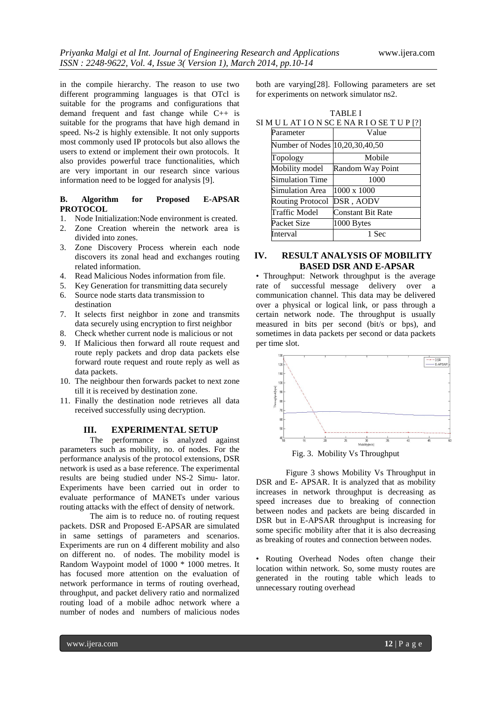in the compile hierarchy. The reason to use two different programming languages is that OTcl is suitable for the programs and configurations that demand frequent and fast change while C++ is suitable for the programs that have high demand in speed. Ns-2 is highly extensible. It not only supports most commonly used IP protocols but also allows the users to extend or implement their own protocols. It also provides powerful trace functionalities, which are very important in our research since various information need to be logged for analysis [9].

### **B. Algorithm for Proposed E-APSAR PROTOCOL**

- 1. Node Initialization:Node environment is created.
- 2. Zone Creation wherein the network area is divided into zones.
- 3. Zone Discovery Process wherein each node discovers its zonal head and exchanges routing related information.
- 4. Read Malicious Nodes information from file.
- 5. Key Generation for transmitting data securely
- 6. Source node starts data transmission to destination
- 7. It selects first neighbor in zone and transmits data securely using encryption to first neighbor
- 8. Check whether current node is malicious or not
- 9. If Malicious then forward all route request and route reply packets and drop data packets else forward route request and route reply as well as data packets.
- 10. The neighbour then forwards packet to next zone till it is received by destination zone.
- 11. Finally the destination node retrieves all data received successfully using decryption.

### **III. EXPERIMENTAL SETUP**

The performance is analyzed against parameters such as mobility, no. of nodes. For the performance analysis of the protocol extensions, DSR network is used as a base reference. The experimental results are being studied under NS-2 Simu- lator. Experiments have been carried out in order to evaluate performance of MANETs under various routing attacks with the effect of density of network.

The aim is to reduce no. of routing request packets. DSR and Proposed E-APSAR are simulated in same settings of parameters and scenarios. Experiments are run on 4 different mobility and also on different no. of nodes. The mobility model is Random Waypoint model of 1000 \* 1000 metres. It has focused more attention on the evaluation of network performance in terms of routing overhead, throughput, and packet delivery ratio and normalized routing load of a mobile adhoc network where a number of nodes and numbers of malicious nodes

both are varying[28]. Following parameters are set for experiments on network simulator ns2.

| <b>TABLE I</b> |  |
|----------------|--|
|                |  |

| SIMULATIONSCENARIOSETUP[?]      |                   |
|---------------------------------|-------------------|
| Parameter                       | Value             |
| Number of Nodes  10,20,30,40,50 |                   |
| Topology                        | Mobile            |
| Mobility model                  | Random Way Point  |
| Simulation Time                 | 1000              |
| <b>Simulation Area</b>          | 1000 x 1000       |
| <b>Routing Protocol</b>         | DSR, AODV         |
| <b>Traffic Model</b>            | Constant Bit Rate |
| Packet Size                     | 1000 Bytes        |
| Interval                        | 1 Sec             |

### **IV. RESULT ANALYSIS OF MOBILITY BASED DSR AND E-APSAR**

• Throughput: Network throughput is the average rate of successful message delivery over a communication channel. This data may be delivered over a physical or logical link, or pass through a certain network node. The throughput is usually measured in bits per second (bit/s or bps), and sometimes in data packets per second or data packets per time slot.



Fig. 3. Mobility Vs Throughput

Figure 3 shows Mobility Vs Throughput in DSR and E- APSAR. It is analyzed that as mobility increases in network throughput is decreasing as speed increases due to breaking of connection between nodes and packets are being discarded in DSR but in E-APSAR throughput is increasing for some specific mobility after that it is also decreasing as breaking of routes and connection between nodes.

• Routing Overhead Nodes often change their location within network. So, some musty routes are generated in the routing table which leads to unnecessary routing overhead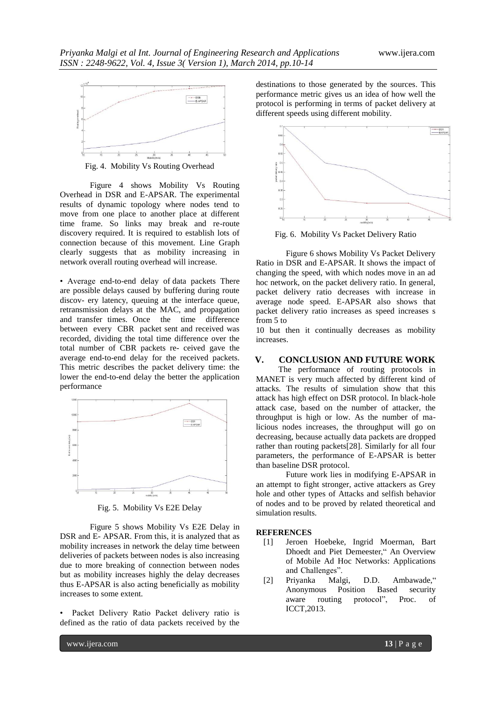

Fig. 4. Mobility Vs Routing Overhead

Figure 4 shows Mobility Vs Routing Overhead in DSR and E-APSAR. The experimental results of dynamic topology where nodes tend to move from one place to another place at different time frame. So links may break and re-route discovery required. It is required to establish lots of connection because of this movement. Line Graph clearly suggests that as mobility increasing in network overall routing overhead will increase.

• Average end-to-end delay of data packets There are possible delays caused by buffering during route discov- ery latency, queuing at the interface queue, retransmission delays at the MAC, and propagation and transfer times. Once the time difference between every CBR packet sent and received was recorded, dividing the total time difference over the total number of CBR packets re- ceived gave the average end-to-end delay for the received packets. This metric describes the packet delivery time: the lower the end-to-end delay the better the application performance



Fig. 5. Mobility Vs E2E Delay

Figure 5 shows Mobility Vs E2E Delay in DSR and E- APSAR. From this, it is analyzed that as mobility increases in network the delay time between deliveries of packets between nodes is also increasing due to more breaking of connection between nodes but as mobility increases highly the delay decreases thus E-APSAR is also acting beneficially as mobility increases to some extent.

Packet Delivery Ratio Packet delivery ratio is defined as the ratio of data packets received by the destinations to those generated by the sources. This performance metric gives us an idea of how well the protocol is performing in terms of packet delivery at different speeds using different mobility.



Fig. 6. Mobility Vs Packet Delivery Ratio

Figure 6 shows Mobility Vs Packet Delivery Ratio in DSR and E-APSAR. It shows the impact of changing the speed, with which nodes move in an ad hoc network, on the packet delivery ratio. In general, packet delivery ratio decreases with increase in average node speed. E-APSAR also shows that packet delivery ratio increases as speed increases s from 5 to

10 but then it continually decreases as mobility increases.

## **V. CONCLUSION AND FUTURE WORK**

The performance of routing protocols in MANET is very much affected by different kind of attacks. The results of simulation show that this attack has high effect on DSR protocol. In black-hole attack case, based on the number of attacker, the throughput is high or low. As the number of malicious nodes increases, the throughput will go on decreasing, because actually data packets are dropped rather than routing packets[28]. Similarly for all four parameters, the performance of E-APSAR is better than baseline DSR protocol.

Future work lies in modifying E-APSAR in an attempt to fight stronger, active attackers as Grey hole and other types of Attacks and selfish behavior of nodes and to be proved by related theoretical and simulation results.

### **REFERENCES**

- [1] Jeroen Hoebeke, Ingrid Moerman, Bart Dhoedt and Piet Demeester," An Overview of Mobile Ad Hoc Networks: Applications and Challenges".
- [2] Priyanka Malgi, D.D. Ambawade," Anonymous Position Based security aware routing protocol", Proc. of ICCT,2013.